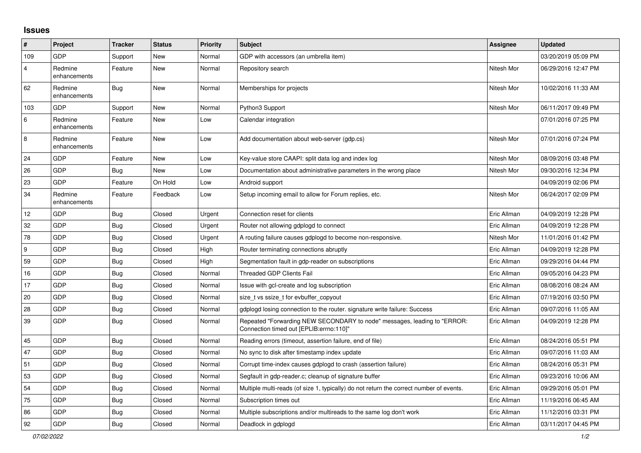## **Issues**

| $\sharp$ | Project                 | <b>Tracker</b> | <b>Status</b> | <b>Priority</b> | <b>Subject</b>                                                                                                      | Assignee    | <b>Updated</b>      |
|----------|-------------------------|----------------|---------------|-----------------|---------------------------------------------------------------------------------------------------------------------|-------------|---------------------|
| 109      | <b>GDP</b>              | Support        | New           | Normal          | GDP with accessors (an umbrella item)                                                                               |             | 03/20/2019 05:09 PM |
| 4        | Redmine<br>enhancements | Feature        | New           | Normal          | Repository search                                                                                                   | Nitesh Mor  | 06/29/2016 12:47 PM |
| 62       | Redmine<br>enhancements | Bug            | New           | Normal          | Memberships for projects                                                                                            | Nitesh Mor  | 10/02/2016 11:33 AM |
| 103      | <b>GDP</b>              | Support        | New           | Normal          | Python3 Support                                                                                                     | Nitesh Mor  | 06/11/2017 09:49 PM |
| 6        | Redmine<br>enhancements | Feature        | New           | Low             | Calendar integration                                                                                                |             | 07/01/2016 07:25 PM |
| $\,8\,$  | Redmine<br>enhancements | Feature        | New           | Low             | Add documentation about web-server (gdp.cs)                                                                         | Nitesh Mor  | 07/01/2016 07:24 PM |
| 24       | GDP                     | Feature        | New           | Low             | Key-value store CAAPI: split data log and index log                                                                 | Nitesh Mor  | 08/09/2016 03:48 PM |
| 26       | <b>GDP</b>              | Bug            | New           | Low             | Documentation about administrative parameters in the wrong place                                                    | Nitesh Mor  | 09/30/2016 12:34 PM |
| 23       | <b>GDP</b>              | Feature        | On Hold       | Low             | Android support                                                                                                     |             | 04/09/2019 02:06 PM |
| 34       | Redmine<br>enhancements | Feature        | Feedback      | Low             | Setup incoming email to allow for Forum replies, etc.                                                               | Nitesh Mor  | 06/24/2017 02:09 PM |
| 12       | GDP                     | <b>Bug</b>     | Closed        | Urgent          | Connection reset for clients                                                                                        | Eric Allman | 04/09/2019 12:28 PM |
| 32       | GDP                     | <b>Bug</b>     | Closed        | Urgent          | Router not allowing gdplogd to connect                                                                              | Eric Allman | 04/09/2019 12:28 PM |
| 78       | GDP                     | Bug            | Closed        | Urgent          | A routing failure causes gdplogd to become non-responsive.                                                          | Nitesh Mor  | 11/01/2016 01:42 PM |
| 9        | <b>GDP</b>              | Bug            | Closed        | High            | Router terminating connections abruptly                                                                             | Eric Allman | 04/09/2019 12:28 PM |
| 59       | GDP                     | <b>Bug</b>     | Closed        | High            | Segmentation fault in gdp-reader on subscriptions                                                                   | Eric Allman | 09/29/2016 04:44 PM |
| 16       | GDP                     | <b>Bug</b>     | Closed        | Normal          | Threaded GDP Clients Fail                                                                                           | Eric Allman | 09/05/2016 04:23 PM |
| 17       | <b>GDP</b>              | Bug            | Closed        | Normal          | Issue with gcl-create and log subscription                                                                          | Eric Allman | 08/08/2016 08:24 AM |
| 20       | GDP                     | Bug            | Closed        | Normal          | size t vs ssize t for evbuffer copyout                                                                              | Eric Allman | 07/19/2016 03:50 PM |
| 28       | GDP                     | <b>Bug</b>     | Closed        | Normal          | gdplogd losing connection to the router. signature write failure: Success                                           | Eric Allman | 09/07/2016 11:05 AM |
| 39       | GDP                     | <b>Bug</b>     | Closed        | Normal          | Repeated "Forwarding NEW SECONDARY to node" messages, leading to "ERROR:<br>Connection timed out [EPLIB:errno:110]" | Eric Allman | 04/09/2019 12:28 PM |
| 45       | GDP                     | Bug            | Closed        | Normal          | Reading errors (timeout, assertion failure, end of file)                                                            | Eric Allman | 08/24/2016 05:51 PM |
| 47       | GDP                     | <b>Bug</b>     | Closed        | Normal          | No sync to disk after timestamp index update                                                                        | Eric Allman | 09/07/2016 11:03 AM |
| 51       | <b>GDP</b>              | <b>Bug</b>     | Closed        | Normal          | Corrupt time-index causes gdplogd to crash (assertion failure)                                                      | Eric Allman | 08/24/2016 05:31 PM |
| 53       | GDP                     | Bug            | Closed        | Normal          | Segfault in gdp-reader.c; cleanup of signature buffer                                                               | Eric Allman | 09/23/2016 10:06 AM |
| 54       | GDP                     | <b>Bug</b>     | Closed        | Normal          | Multiple multi-reads (of size 1, typically) do not return the correct number of events.                             | Eric Allman | 09/29/2016 05:01 PM |
| 75       | GDP                     | <b>Bug</b>     | Closed        | Normal          | Subscription times out                                                                                              | Eric Allman | 11/19/2016 06:45 AM |
| 86       | GDP                     | Bug            | Closed        | Normal          | Multiple subscriptions and/or multireads to the same log don't work                                                 | Eric Allman | 11/12/2016 03:31 PM |
| 92       | <b>GDP</b>              | Bug            | Closed        | Normal          | Deadlock in gdplogd                                                                                                 | Eric Allman | 03/11/2017 04:45 PM |